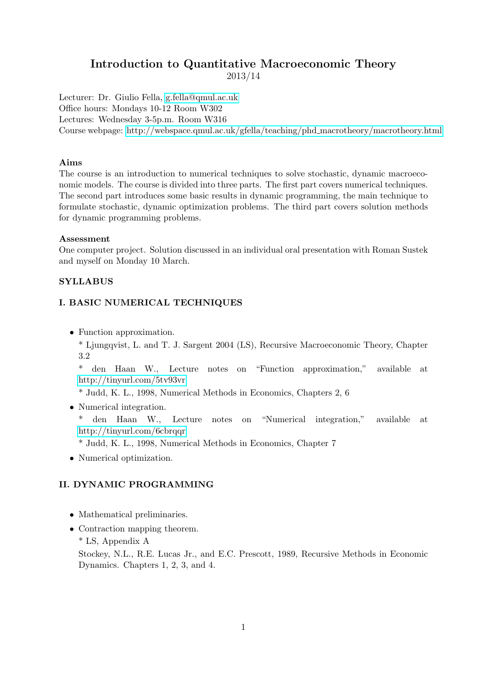# Introduction to Quantitative Macroeconomic Theory

2013/14

Lecturer: Dr. Giulio Fella, [g.fella@qmul.ac.uk](mailto:g.fella@qmul.ac.uk) Office hours: Mondays 10-12 Room W302 Lectures: Wednesday 3-5p.m. Room W316 Course webpage: [http://webspace.qmul.ac.uk/gfella/teaching/phd](http://webspace.qmul.ac.uk/gfella/teaching/phd_macrotheory/macrotheory.html) macrotheory/macrotheory.html

#### Aims

The course is an introduction to numerical techniques to solve stochastic, dynamic macroeconomic models. The course is divided into three parts. The first part covers numerical techniques. The second part introduces some basic results in dynamic programming, the main technique to formulate stochastic, dynamic optimization problems. The third part covers solution methods for dynamic programming problems.

#### Assessment

One computer project. Solution discussed in an individual oral presentation with Roman Sustek and myself on Monday 10 March.

### **SYLLABUS**

## I. BASIC NUMERICAL TECHNIQUES

• Function approximation.

\* Ljungqvist, L. and T. J. Sargent 2004 (LS), Recursive Macroeconomic Theory, Chapter 3.2

\* den Haan W., Lecture notes on "Function approximation," available at <http://tinyurl.com/5tv93vr>

\* Judd, K. L., 1998, Numerical Methods in Economics, Chapters 2, 6

• Numerical integration.

\* den Haan W., Lecture notes on "Numerical integration," available at <http://tinyurl.com/6cbrqqr>

\* Judd, K. L., 1998, Numerical Methods in Economics, Chapter 7

• Numerical optimization.

### II. DYNAMIC PROGRAMMING

- Mathematical preliminaries.
- Contraction mapping theorem.
	- \* LS, Appendix A

Stockey, N.L., R.E. Lucas Jr., and E.C. Prescott, 1989, Recursive Methods in Economic Dynamics. Chapters 1, 2, 3, and 4.